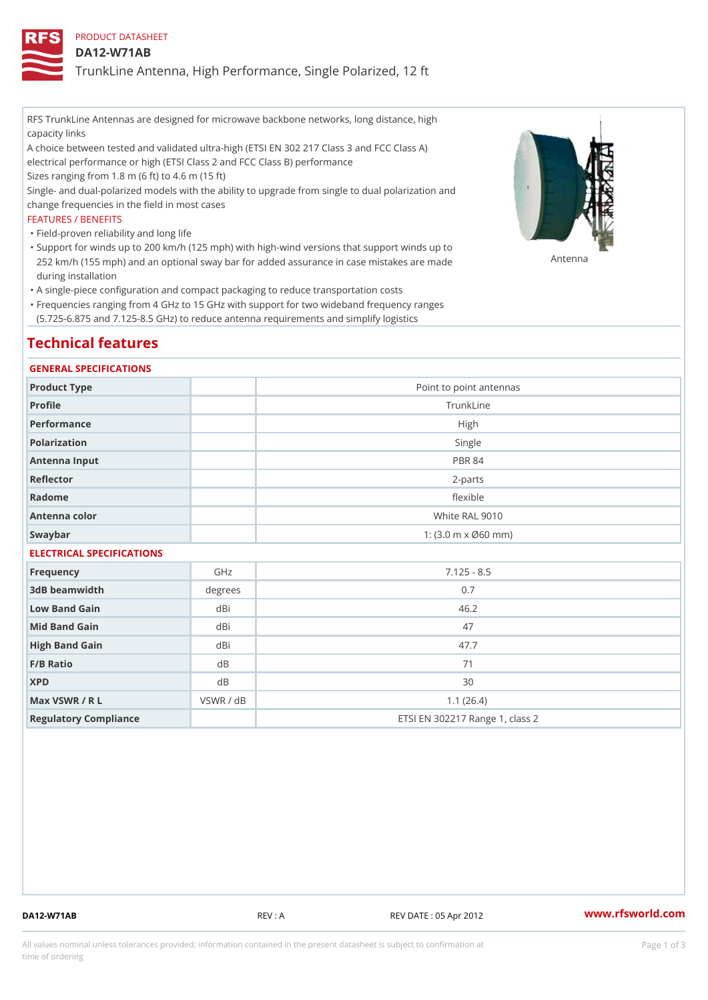## PRODUCT DATASHEET

## DA12-W71AB

TrunkLine Antenna, High Performance, Single Polarized, 12 ft

RFS TrunkLine Antennas are designed for microwave backbone networks, long distance, high capacity links

A choice between tested and validated ultra-high (ETSI EN 302 217 Class 3 and FCC Class A) electrical performance or high (ETSI Class 2 and FCC Class B) performance

Sizes ranging from 1.8 m (6 ft) to 4.6 m (15 ft)

Single- and dual-polarized models with the ability to upgrade from single to dual polarization and change frequencies in the field in most cases

### FEATURES / BENEFITS

"Field-proven reliability and long life

- Support for winds up to 200 km/h (125 mph) with high-wind versions that support winds up to " 252 km/h (155 mph) and an optional sway bar for added assurance in case m S # \$ R & B are made during installation
- "A single-piece configuration and compact packaging to reduce transportation costs
- Frequencies ranging from 4 GHz to 15 GHz with support for two wideband frequency ranges " (5.725-6.875 and 7.125-8.5 GHz) to reduce antenna requirements and simplify logistics

# Technical features

### GENERAL SPECIFICATIONS

| Product Type              | Point to point antennas                                 |  |  |  |
|---------------------------|---------------------------------------------------------|--|--|--|
| Profile                   | TrunkLine                                               |  |  |  |
| Performance               | High                                                    |  |  |  |
| Polarization              | Single                                                  |  |  |  |
| Antenna Input             | <b>PBR 84</b>                                           |  |  |  |
| Reflector                 | $2 - p$ arts                                            |  |  |  |
| Radome                    | flexible                                                |  |  |  |
| Antenna color             | White RAL 9010                                          |  |  |  |
| Swaybar                   | 1: $(3.0 \, \text{m} \times \emptyset 60 \, \text{mm})$ |  |  |  |
| ELECTRICAL SPECIFICATIONS |                                                         |  |  |  |

| Frequency             | GHz       | $7.125 - 8.5$                   |
|-----------------------|-----------|---------------------------------|
| 3dB beamwidth         | degrees   | 0.7                             |
| Low Band Gain         | dBi       | 46.2                            |
| Mid Band Gain         | dBi       | 47                              |
| High Band Gain        | dBi       | 47.7                            |
| $F/B$ Ratio           | d B       | 71                              |
| <b>XPD</b>            | d B       | 30                              |
| Max VSWR / R L        | VSWR / dB | 1.1(26.4)                       |
| Regulatory Compliance |           | ETSI EN 302217 Range 1, class 2 |

DA12-W71AB REV : A REV DATE : 05 Apr 2012 [www.](https://www.rfsworld.com)rfsworld.com

All values nominal unless tolerances provided; information contained in the present datasheet is subject to Pcapgeign mation time of ordering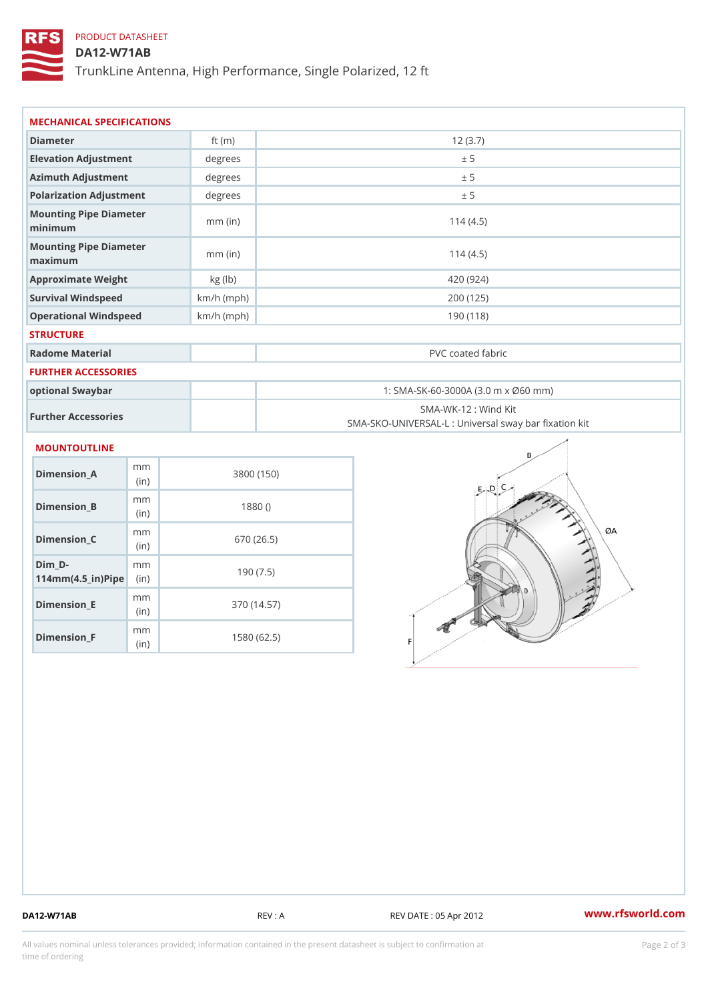# PRODUCT DATASHEET

# DA12-W71AB

TrunkLine Antenna, High Performance, Single Polarized, 12 ft

| MECHANICAL SPECIFICATIONS                                                |              |                                                                          |  |  |
|--------------------------------------------------------------------------|--------------|--------------------------------------------------------------------------|--|--|
| Diameter                                                                 | ft $(m)$     | 12(3.7)                                                                  |  |  |
| Elevation Adjustment                                                     | degrees      | ± 5                                                                      |  |  |
| Azimuth Adjustment                                                       | degrees      | ± 5                                                                      |  |  |
| Polarization Adjustment                                                  | degrees      | ± 5                                                                      |  |  |
| Mounting Pipe Diameter<br>minimum                                        | $mm$ (in)    | 114(4.5)                                                                 |  |  |
| Mounting Pipe Diameter<br>maximum                                        | $mm$ (in)    | 114(4.5)                                                                 |  |  |
| Approximate Weight                                                       | kg (lb)      | 420 (924)                                                                |  |  |
| Survival Windspeed                                                       | $km/h$ (mph) | 200 (125)                                                                |  |  |
| Operational Windspeed                                                    | $km/h$ (mph) | 190 (118)                                                                |  |  |
| <b>STRUCTURE</b>                                                         |              |                                                                          |  |  |
| Radome Material                                                          |              | PVC coated fabric                                                        |  |  |
| FURTHER ACCESSORIES                                                      |              |                                                                          |  |  |
| optional Swaybar                                                         |              | 1: SMA-SK-60-3000A (3.0 m x Ø60 mm)                                      |  |  |
| Further Accessories                                                      |              | SMA-WK-12: Wind Kit<br>SMA-SKO-UNIVERSAL-L : Universal sway bar fixation |  |  |
| MOUNTOUTLINE                                                             |              |                                                                          |  |  |
| m <sub>m</sub><br>$Dimension_A$<br>(in)                                  |              | 3800 (150)                                                               |  |  |
| m <sub>m</sub><br>$Dimension_B$<br>(in)                                  |              | 1880()                                                                   |  |  |
| m <sub>m</sub><br>$Dimension_C$<br>(in)                                  |              | 670 (26.5)                                                               |  |  |
| Dim D-<br>m <sub>m</sub><br>$114$ m m (4.5 _ ir ) $\sqrt{$ imp $\approx$ |              | 190(7.5)                                                                 |  |  |

(in) Dimension\_F m<sub>m</sub> (in) 1580 (62.5)

m<sub>m</sub>

Dimension\_E

370 (14.57)

DA12-W71AB REV : A REV DATE : 05 Apr 2012 [www.](https://www.rfsworld.com)rfsworld.com